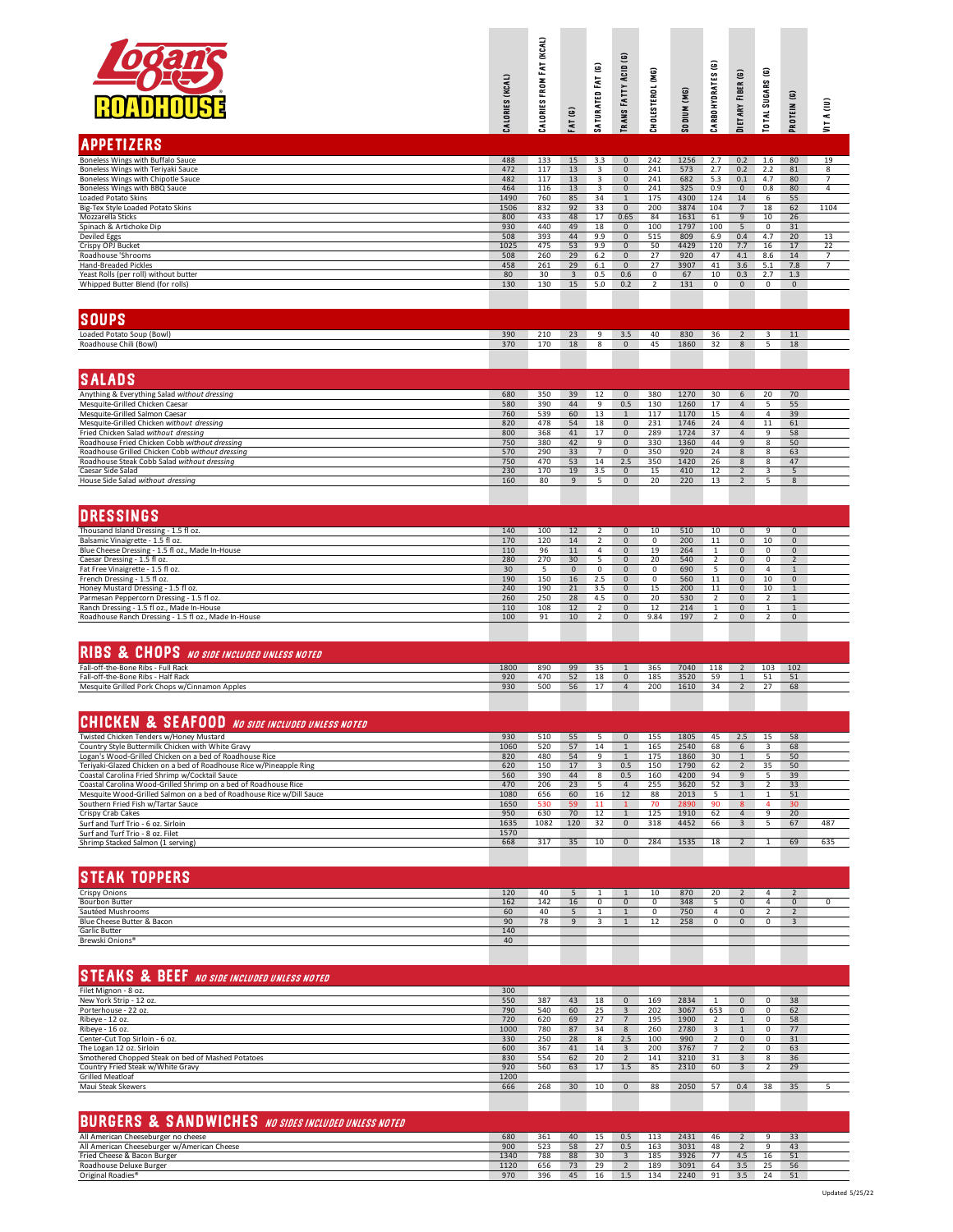|                                                                                                                                         | CALORIES (KCAL) | (KCAL)<br>FAT<br>FROM<br>CALORIES | $\overline{e}$<br>FAT     | SATURATED FAT (G)            | <b>TRANS FATTY ACID (G)</b>         | CHOLESTEROL (MG)    | <b>SODIUM (MG)</b> | Θ<br>CARBOHYDRATES               | DIETARY FIBER (G)                          | ම<br><b>TOTAL SUGARS</b> | PROTEIN (G)                    | VIT A (IU)          |
|-----------------------------------------------------------------------------------------------------------------------------------------|-----------------|-----------------------------------|---------------------------|------------------------------|-------------------------------------|---------------------|--------------------|----------------------------------|--------------------------------------------|--------------------------|--------------------------------|---------------------|
| <b>APPETIZERS</b>                                                                                                                       |                 |                                   |                           |                              |                                     |                     |                    |                                  |                                            |                          |                                |                     |
| Boneless Wings with Buffalo Sauce<br>Boneless Wings with Teriyaki Sauce                                                                 | 488<br>472      | 133<br>117                        | 15<br>13                  | 3.3<br>3                     | $\mathbf 0$<br>$\mathbf 0$          | 242<br>241          | 1256<br>573        | 2.7<br>2.7                       | 0.2<br>0.2                                 | 1.6<br>2.2               | 80<br>81                       | 19<br>8             |
| Boneless Wings with Chipotle Sauce<br>Boneless Wings with BBQ Sauce                                                                     | 482<br>464      | 117<br>116                        | 13<br>13                  | $\overline{\mathbf{3}}$<br>3 | $\mathbf{0}$<br>$\mathsf{O}\xspace$ | 241<br>241          | 682<br>325         | 5.3<br>0.9                       | 0.1<br>$\mathbf 0$                         | 4.7<br>0.8               | 80<br>80                       | 7<br>4              |
| Loaded Potato Skins<br>Big-Tex Style Loaded Potato Skins                                                                                | 1490<br>1506    | 760<br>832                        | 85<br>92                  | 34<br>33                     | $\mathbf{1}$<br>$\overline{0}$      | 175<br>200          | 4300<br>3874       | 124<br>104                       | 14<br>$\overline{7}$                       | 6<br>18                  | 55<br>62                       | 1104                |
| Mozzarella Sticks<br>Spinach & Artichoke Dip                                                                                            | 800<br>930      | 433<br>440                        | 48<br>49                  | 17<br>18                     | 0.65<br>$\mathbf{0}$                | 84<br>100           | 1631<br>1797       | 61<br>100                        | 9<br>5                                     | 10<br>0                  | 26<br>31                       |                     |
| Deviled Eggs<br>Crispy OPJ Bucket                                                                                                       | 508<br>1025     | 393<br>475                        | 44<br>53                  | 9.9<br>9.9                   | $\mathbf{0}$<br>$\mathbf{0}$        | 515<br>50           | 809<br>4429        | 6.9<br>120                       | 0.4<br>7.7                                 | 4.7<br>16                | 20<br>17                       | 13<br>22            |
| Roadhouse 'Shrooms<br>Hand-Breaded Pickles                                                                                              | 508<br>458      | 260<br>261                        | 29<br>29                  | 6.2<br>6.1                   | $\mathbf 0$<br>$\mathbf 0$          | 27<br>27            | 920<br>3907        | 47<br>41                         | 4.1<br>3.6                                 | 8.6<br>5.1               | 14<br>7.8                      | 7<br>$\overline{7}$ |
| Yeast Rolls (per roll) without butter<br>Whipped Butter Blend (for rolls)                                                               | 80<br>130       | 30<br>130                         | $\overline{3}$<br>15      | 0.5<br>5.0                   | 0.6<br>0.2                          | 0<br>$\overline{2}$ | 67<br>131          | 10<br>0                          | 0.3<br>$\mathsf 0$                         | 2.7<br>0                 | 1.3<br>$\mathsf{O}\xspace$     |                     |
|                                                                                                                                         |                 |                                   |                           |                              |                                     |                     |                    |                                  |                                            |                          |                                |                     |
| <b>SOUPS</b>                                                                                                                            |                 |                                   |                           |                              |                                     |                     |                    |                                  |                                            |                          |                                |                     |
| Loaded Potato Soup (Bowl)                                                                                                               | 390             | 210                               | 23                        | 9                            | 3.5                                 | 40                  | 830                | 36                               | $\overline{2}$                             | $\overline{\mathbf{3}}$  | 11                             |                     |
| Roadhouse Chili (Bowl)                                                                                                                  | 370             | 170                               | 18                        | 8                            | $\mathbf 0$                         | 45                  | 1860               | 32                               | 8                                          | 5                        | 18                             |                     |
| <b>SALADS</b>                                                                                                                           |                 |                                   |                           |                              |                                     |                     |                    |                                  |                                            |                          |                                |                     |
| Anything & Everything Salad without dressing                                                                                            | 680             | 350                               | 39                        | 12                           | $\overline{0}$                      | 380                 | 1270               | 30                               | 6 <sup>6</sup>                             | 20                       | 70                             |                     |
| Mesquite-Grilled Chicken Caesar<br>Mesquite-Grilled Salmon Caesar                                                                       | 580<br>760      | 390<br>539                        | 44<br>60                  | 9<br>13                      | 0.5<br>$\mathbf{1}$                 | 130<br>117          | 1260<br>1170       | 17<br>15                         | $\overline{4}$<br>$\overline{4}$           | 5<br>4                   | 55<br>39                       |                     |
| Mesquite-Grilled Chicken without dressing<br>Fried Chicken Salad without dressing                                                       | 820<br>800      | 478<br>368                        | 54<br>41                  | 18<br>17                     | $\mathbf 0$<br>$\mathbf 0$          | 231<br>289          | 1746<br>1724       | 24<br>37                         | $\overline{4}$<br>$\overline{4}$           | 11<br>9                  | 61<br>58                       |                     |
| Roadhouse Fried Chicken Cobb without dressing<br>Roadhouse Grilled Chicken Cobb without dressing                                        | 750<br>570      | 380<br>290                        | 42<br>33                  | 9<br>$\overline{7}$          | $\mathbf 0$<br>$\mathbf{0}$         | 330<br>350          | 1360<br>920        | 44<br>24                         | 9<br>$\bf 8$                               | 8<br>8                   | 50<br>63                       |                     |
| Roadhouse Steak Cobb Salad without dressing<br>Caesar Side Salad                                                                        | 750<br>230      | 470<br>170                        | 53<br>19                  | 14<br>3.5                    | 2.5<br>$\mathbf{0}$                 | 350<br>15           | 1420<br>410        | 26<br>12                         | 8<br>$\overline{2}$                        | 8<br>3                   | 47<br>5                        |                     |
| House Side Salad without dressing                                                                                                       | 160             | 80                                | 9                         | 5                            | $\mathbf 0$                         | 20                  | 220                | 13                               | $\overline{2}$                             | 5                        | 8                              |                     |
|                                                                                                                                         |                 |                                   |                           |                              |                                     |                     |                    |                                  |                                            |                          |                                |                     |
| <b>DRESSINGS</b><br>Thousand Island Dressing - 1.5 fl oz.                                                                               | 140             | 100                               | 12                        | 2                            | $\mathbf 0$                         | 10                  | 510                | 10                               | $\mathbf 0$                                | 9                        | $\mathbf 0$                    |                     |
| Balsamic Vinaigrette - 1.5 fl oz.<br>Blue Cheese Dressing - 1.5 fl oz., Made In-House                                                   | 170<br>110      | 120<br>96                         | 14<br>11                  | $\overline{2}$<br>$\sqrt{4}$ | $\mathbf 0$<br>$\mathsf{O}\xspace$  | 0<br>19             | 200<br>264         | 11<br>$\mathbf{1}$               | $\mathsf{O}\xspace$<br>$\mathsf{O}\xspace$ | 10<br>0                  | $\mathbf 0$<br>$\mathbf 0$     |                     |
| Caesar Dressing - 1.5 fl oz                                                                                                             | 280             | 270<br>5                          | 30                        | 5<br>$\mathsf 0$             | $\mathbf 0$                         | 20<br>0             | 540<br>690         | $\overline{2}$<br>$\overline{5}$ | $\mathbf 0$<br>$\mathbf 0$                 | 0<br>4                   | $\overline{2}$<br>$\mathbf{1}$ |                     |
| Fat Free Vinaigrette - 1.5 fl oz.<br>French Dressing - 1.5 fl oz.                                                                       | 30<br>190       | 150                               | $\mathsf{O}\xspace$<br>16 | 2.5                          | $\mathbf 0$<br>$\mathbf 0$          | 0                   | 560                | 11                               | $\mathsf{O}\xspace$                        | 10                       | $\pmb{0}$                      |                     |
| Honey Mustard Dressing - 1.5 fl oz.<br>Parmesan Peppercorn Dressing - 1.5 fl oz.                                                        | 240<br>260      | 190<br>250                        | 21<br>28                  | 3.5<br>4.5                   | $\mathbf 0$<br>$\mathbf 0$          | 15<br>20            | 200<br>530         | 11<br>2                          | $\mathbf 0$<br>$\mathbf 0$                 | 10<br>2                  | $\mathbf{1}$<br>$\mathbf{1}$   |                     |
| Ranch Dressing - 1.5 fl oz., Made In-House<br>Roadhouse Ranch Dressing - 1.5 fl oz., Made In-House                                      | 110<br>100      | 108<br>91                         | 12<br>10                  | 2<br>$\overline{2}$          | $\mathbf 0$<br>$\mathbf 0$          | 12<br>9.84          | 214<br>197         | 1<br>$\overline{2}$              | 0<br>$\mathbf 0$                           | 1<br>$\overline{2}$      | $\mathbf 0$                    |                     |
|                                                                                                                                         |                 |                                   |                           |                              |                                     |                     |                    |                                  |                                            |                          |                                |                     |
| <b>RIBS &amp; CHOPS</b> NO SIDE INCLUDED UNLESS NOTED                                                                                   |                 |                                   |                           |                              |                                     |                     |                    |                                  |                                            |                          |                                |                     |
| Fall-off-the-Bone Ribs - Full Rack<br>Fall-off-the-Bone Ribs - Half Rack                                                                | 1800<br>920     | 890<br>470                        | 99<br>52                  | 35<br>18                     | 1<br>$\mathbf 0$                    | 365<br>185          | 7040<br>3520       | 118<br>59                        | $\overline{2}$<br>$\mathbf{1}$             | 103<br>51                | 102<br>51                      |                     |
| Mesquite Grilled Pork Chops w/Cinnamon Apples                                                                                           | 930             | 500                               | 56                        | 17                           | $\overline{4}$                      | 200                 | 1610               | 34                               | $\overline{2}$                             | 27                       | 68                             |                     |
| <b>CHICKEN &amp; SEAFOOD</b> NO SIDE INCLUDED UNLESS NOTED                                                                              |                 |                                   |                           |                              |                                     |                     |                    |                                  |                                            |                          |                                |                     |
| Twisted Chicken Tenders w/Honey Mustard                                                                                                 | 930             | 510                               | 55                        | 5                            | $\mathbf{0}$                        | 155                 | 1805               | 45                               | 2.5                                        | 15                       | 58                             |                     |
| Country Style Buttermilk Chicken with White Gravy<br>Logan's Wood-Grilled Chicken on a bed of Roadhouse Rice                            | 1060<br>820     | 520<br>480                        | 57<br>54                  | 14<br>9                      | $\mathbf{1}$<br>$\mathbf{1}$        | 165<br>175          | 2540<br>1860       | 68<br>30                         | 6<br>$\mathbf{1}$                          | 3<br>5                   | 68<br>50                       |                     |
| Teriyaki-Glazed Chicken on a bed of Roadhouse Rice w/Pineapple Ring<br>Coastal Carolina Fried Shrimp w/Cocktail Sauce                   | 620<br>560      | 150<br>390                        | 17<br>44                  | 3<br>8                       | 0.5<br>0.5                          | 150<br>160          | 1790<br>4200       | 62<br>94                         | $\overline{2}$<br>9                        | 35<br>5                  | 50<br>39                       |                     |
| Coastal Carolina Wood-Grilled Shrimp on a bed of Roadhouse Rice<br>Mesquite Wood-Grilled Salmon on a bed of Roadhouse Rice w/Dill Sauce | 470<br>1080     | 206<br>656                        | 23<br>60                  | 5<br>16                      | $\overline{4}$<br>12                | 255<br>88           | 3620<br>2013       | 52<br>5                          | 3<br>$\mathbf{1}$                          | 2<br>1                   | 33<br>51                       |                     |
| Southern Fried Fish w/Tartar Sauce<br>Crispy Crab Cakes                                                                                 | 1650<br>950     | 530<br>630                        | 59<br>70                  | 11<br>12                     | $\mathbf{1}$<br>$\mathbf{1}$        | 70<br>125           | 2890<br>1910       | 90<br>62                         | 8<br>4                                     | 4<br>9                   | 30<br>20                       |                     |
| Surf and Turf Trio - 6 oz. Sirloin<br>Surf and Turf Trio - 8 oz. Filet                                                                  | 1635<br>1570    | 1082                              | 120                       | 32                           | $\mathbf 0$                         | 318                 | 4452               | 66                               | 3                                          | 5                        | 67                             | 487                 |
| Shrimp Stacked Salmon (1 serving)                                                                                                       | 668             | 317                               | 35                        | 10                           | $\overline{0}$                      | 284                 | 1535               | 18                               | $\overline{2}$                             | $\mathbf{1}$             | 69                             | 635                 |
|                                                                                                                                         |                 |                                   |                           |                              |                                     |                     |                    |                                  |                                            |                          |                                |                     |
| <b>STEAK TOPPERS</b><br><b>Crispy Onions</b>                                                                                            | 120             | 40                                | 5                         | 1                            | $\mathbf{1}$                        | 10                  | 870                | 20                               | $\overline{2}$                             | 4                        | $\overline{2}$                 |                     |
| <b>Bourbon Butter</b><br>Sautéed Mushrooms                                                                                              | 162<br>60       | 142<br>40                         | 16<br>5                   | 0<br>$\mathbf{1}$            | $\mathbf 0$<br>$\mathbf{1}$         | 0<br>0              | 348<br>750         | 5<br>4                           | $\mathbf 0$<br>$\mathbf 0$                 | 4<br>2                   | $\mathbf 0$<br>$\sqrt{2}$      | 0                   |
| Blue Cheese Butter & Bacon<br>Garlic Butter                                                                                             | 90<br>140       | 78                                | 9                         | 3                            | $\mathbf{1}$                        | 12                  | 258                | $\overline{0}$                   | $\mathbf 0$                                | $\mathbf{0}$             | $\overline{\mathbf{3}}$        |                     |
| Brewski Onions <sup>®</sup>                                                                                                             | 40              |                                   |                           |                              |                                     |                     |                    |                                  |                                            |                          |                                |                     |
|                                                                                                                                         |                 |                                   |                           |                              |                                     |                     |                    |                                  |                                            |                          |                                |                     |
| <b>STEAKS &amp; BEEF</b> NO SIDE INCLUDED UNLESS NOTED<br>Filet Mignon - 8 oz.                                                          | 300             |                                   |                           |                              |                                     |                     |                    |                                  |                                            |                          |                                |                     |
| New York Strip - 12 oz.                                                                                                                 | 550             | 387                               | 43                        | 18                           | $\mathbf{0}$                        | 169                 | 2834               | 1                                | $\mathbf 0$                                | 0                        | 38                             |                     |
| Porterhouse - 22 oz.<br>Ribeye - 12 oz.                                                                                                 | 790<br>720      | 540<br>620                        | 60<br>69                  | 25<br>27                     | $\overline{3}$<br>$7\phantom{.0}$   | 202<br>195          | 3067<br>1900       | 653<br>2                         | $\mathbf 0$<br>$\mathbf{1}$                | $^{\circ}$<br>0          | 62<br>58                       |                     |
| Ribeye - 16 oz.<br>Center-Cut Top Sirloin - 6 oz.                                                                                       | 1000<br>330     | 780<br>250                        | 87<br>28                  | 34<br>8                      | 8<br>2.5                            | 260<br>100          | 2780<br>990        | 3<br>2                           | $\mathbf{1}$<br>$\mathbf{0}$               | 0<br>0                   | 77<br>31                       |                     |
| The Logan 12 oz. Sirloin<br>Smothered Chopped Steak on bed of Mashed Potatoes                                                           | 600<br>830      | 367<br>554                        | 41<br>62                  | 14<br>20                     | $\overline{3}$<br>$\overline{2}$    | 200<br>141          | 3767<br>3210       | 7<br>31                          | $\overline{2}$<br>3                        | 0<br>8                   | 63<br>36                       |                     |
| Country Fried Steak w/White Gravy<br><b>Grilled Meatloaf</b>                                                                            | 920<br>1200     | 560                               | 63                        | 17                           | 1.5                                 | 85                  | 2310               | 60                               | 3                                          | $\overline{\phantom{a}}$ | 29                             |                     |
| Maui Steak Skewers                                                                                                                      | 666             | 268                               | 30                        | 10                           | $\mathbf 0$                         | 88                  | 2050               | 57                               | 0.4                                        | 38                       | 35                             | 5                   |
|                                                                                                                                         |                 |                                   |                           |                              |                                     |                     |                    |                                  |                                            |                          |                                |                     |
| <b>BURGERS &amp; SANDWICHES</b> NO SIDES INCLUDED UNLESS NOTED<br>All American Cheeseburger no cheese                                   | 680             | 361                               | 40                        | 15                           | 0.5                                 | 113                 | 2431               | 46                               | $\overline{2}$                             | 9                        | 33                             |                     |
| All American Cheeseburger w/American Cheese<br>Fried Cheese & Bacon Burger                                                              | 900<br>1340     | 523<br>788                        | 58<br>88                  | 27<br>30                     | 0.5<br>$\overline{\mathbf{3}}$      | 163<br>185          | 3031<br>3926       | 48<br>77                         | $\overline{2}$<br>4.5                      | 9<br>16                  | 43<br>51                       |                     |
| Roadhouse Deluxe Burger                                                                                                                 | 1120            | 656                               | 73                        | 29                           | $\overline{2}$                      | 189                 | 3091               | 64                               | 3.5                                        | 25                       | 56                             |                     |

Original Roadies® 970 396 45 16 1.5 134 2240 91 3.5 24 51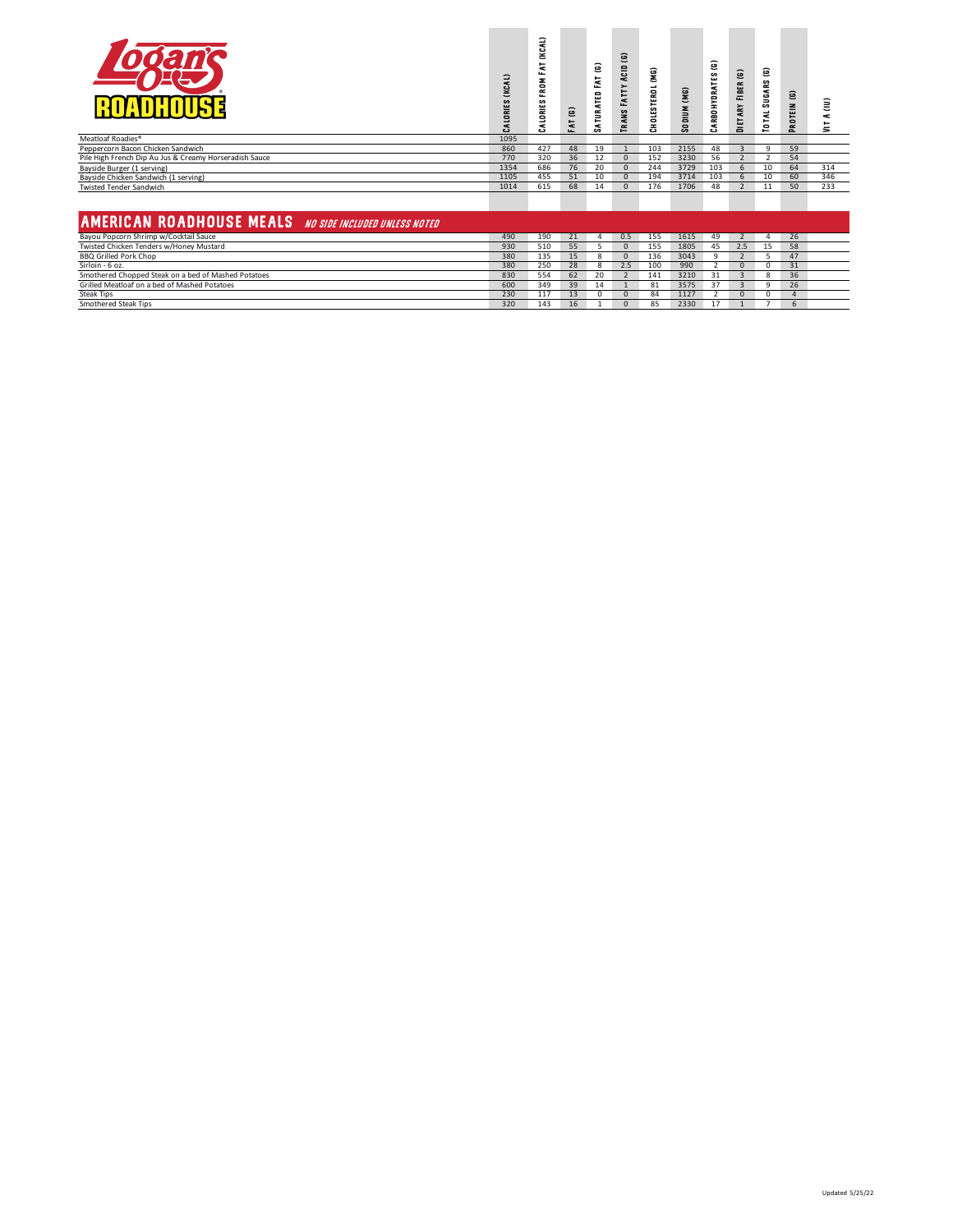|                                                               | (KCAL)<br>CALORIES | (KCAL)<br>눈<br>щ<br>×<br>ERO<br>s<br>ALORIE! | <b>FAT (G)</b> | ε<br>ĔλT<br>SATURATED | $\widehat{\mathbf{e}}$<br>Acıp<br><b>TRANS FATTY</b> | (MG)<br><b>CHOLESTEROL</b> | $\rm (M6)$<br><b>NUIDOS</b> | Ξ<br>s<br>CARBOHYDRATE | DIETARY FIBER (G) | Θ<br>s<br><b>SUGAR</b><br>$\preccurlyeq$<br>٠<br>$\bullet$ | <b>G) MI3LON</b> | Ξ<br>¢<br>Ξ |
|---------------------------------------------------------------|--------------------|----------------------------------------------|----------------|-----------------------|------------------------------------------------------|----------------------------|-----------------------------|------------------------|-------------------|------------------------------------------------------------|------------------|-------------|
| Meatloaf Roadies®                                             | 1095               |                                              |                |                       |                                                      |                            |                             |                        |                   |                                                            |                  |             |
| Peppercorn Bacon Chicken Sandwich                             | 860                | 427                                          | 48             | 19                    |                                                      | 103                        | 2155                        | 48                     | $\overline{3}$    | 9                                                          | 59               |             |
| Pile High French Dip Au Jus & Creamy Horseradish Sauce        | 770                | 320                                          | 36             | 12                    | $\Omega$                                             | 152                        | 3230                        | 56                     | $\overline{z}$    | $\overline{2}$                                             | 54               |             |
| Bayside Burger (1 serving)                                    | 1354               | 686                                          | 76             | 20                    | $\mathbf{0}$                                         | 244                        | 3729                        | 103                    | 6                 | 10                                                         | 64               | 314         |
| Bayside Chicken Sandwich (1 serving)                          | 1105               | 455                                          | 51             | 10                    | $\Omega$                                             | 194                        | 3714                        | 103                    | $6\overline{6}$   | 10                                                         | 60               | 346         |
| <b>Twisted Tender Sandwich</b>                                | 1014               | 615                                          | 68             | 14                    | $\Omega$                                             | 176                        | 1706                        | 48                     | $\overline{z}$    | 11                                                         | 50               | 233         |
| <b>AMERICAN ROADHOUSE MEALS</b> NO SIDE INCLUDED UNLESS NOTED |                    |                                              |                |                       |                                                      |                            |                             |                        |                   |                                                            |                  |             |
| Bayou Popcorn Shrimp w/Cocktail Sauce                         | 490                | 190                                          | 21             | $\Delta$              | 0.5                                                  | 155                        | 1615                        | 49                     | $\overline{2}$    | Δ                                                          | 26               |             |
| Twisted Chicken Tenders w/Honey Mustard                       | 930                | 510                                          | 55             |                       | $\Omega$                                             | 155                        | 1805                        | 45                     | 2.5               | 15                                                         | 58               |             |
| <b>BBQ Grilled Pork Chop</b>                                  | 380                | 135                                          | 15             | 8                     | $\Omega$                                             | 136                        | 3043                        | $\alpha$               | $\overline{2}$    | 5                                                          | 47               |             |
| Sirloin - 6 oz.                                               | 380                | 250                                          | 28             | 8                     | 2.5                                                  | 100                        | 990                         |                        | $\Omega$          | $\Omega$                                                   | 31               |             |
| Smothered Chopped Steak on a bed of Mashed Potatoes           | 830                | 554                                          | 62             | 20                    | $\overline{\phantom{a}}$                             | 141                        | 3210                        | 31                     |                   | 8                                                          | 36               |             |
| Grilled Meatloaf on a bed of Mashed Potatoes                  | 600                | 349                                          | 39             | 14                    | $\mathbf{1}$                                         | 81                         | 3575                        | 37                     | $\mathbf{3}$      | 9                                                          | 26               |             |
| <b>Steak Tips</b>                                             | 230                | 117                                          | 13             |                       | $\Omega$                                             | 84                         | 1127                        |                        | $\Omega$          | n                                                          | $\Delta$         |             |
| Smothered Steak Tips                                          | 320                | 143                                          | 16             |                       | $\Omega$                                             | 85                         | 2330                        | 17                     |                   |                                                            | 6                |             |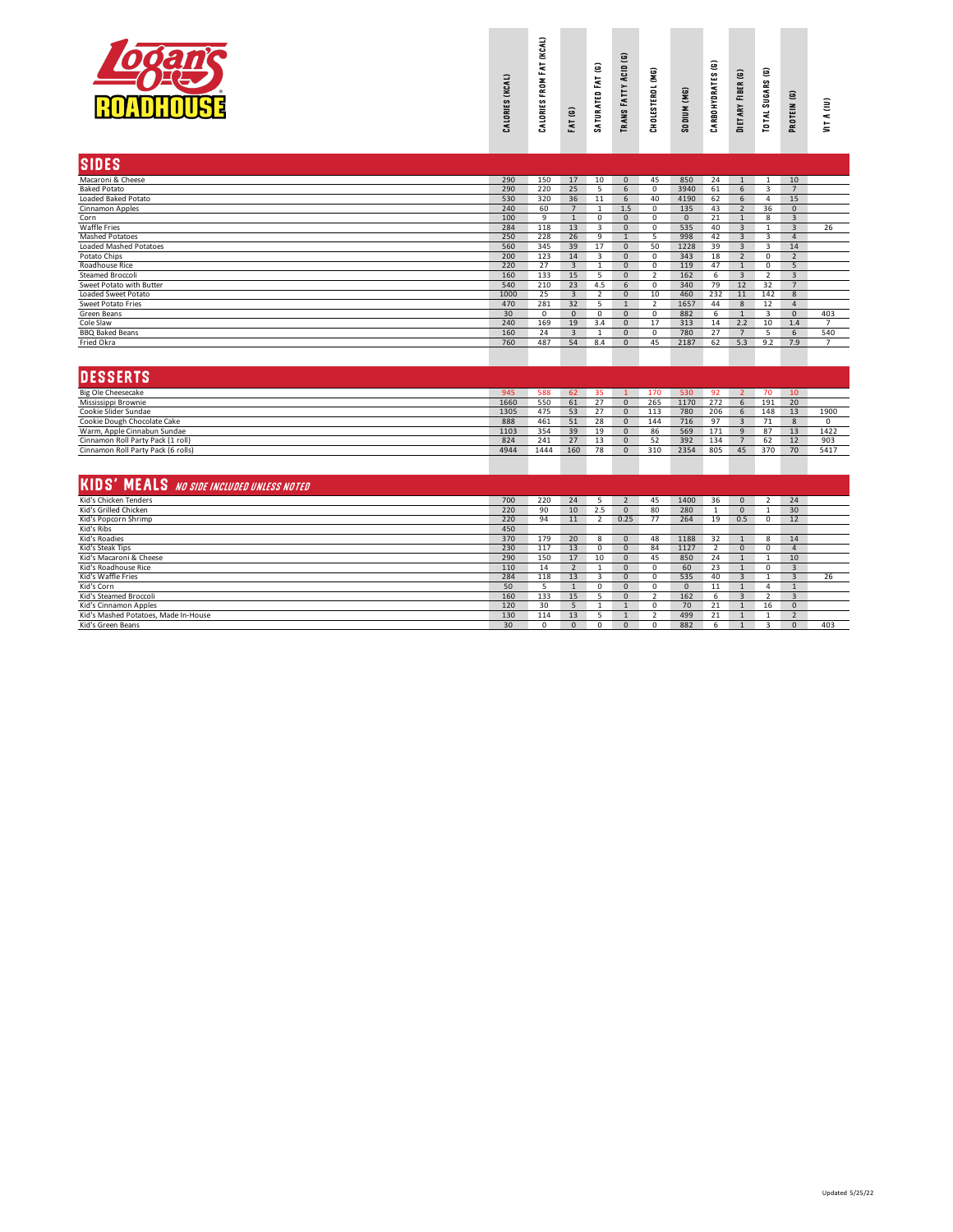|                                                  | CALORIES (KCAL) | (KCAL)<br>FAT<br>FROM<br>CALORIES | <b>FAT (G)</b> | SATURATED FAT (G)        | $\widehat{\mathbf{e}}$<br><b>TRANS FATTY ACID</b> | CHOLESTEROL (MG) | SODIUM (MG)    | ε<br>CARBOHYDRATES | DIETARY FIBER (G)       | Θ<br>TOTAL SUGARS | PROTEIN (G)    | VIT A (IU)     |
|--------------------------------------------------|-----------------|-----------------------------------|----------------|--------------------------|---------------------------------------------------|------------------|----------------|--------------------|-------------------------|-------------------|----------------|----------------|
| <b>SIDES</b>                                     |                 |                                   |                |                          |                                                   |                  |                |                    |                         |                   |                |                |
| Macaroni & Cheese                                | 290             | 150                               | 17             | 10                       | $\mathbf{0}$                                      | 45               | 850            | 24                 | 1                       | $\mathbf{1}$      | 10             |                |
| <b>Baked Potato</b>                              | 290             | 220                               | 25             | 5                        | 6                                                 | $\mathbf 0$      | 3940           | 61                 | 6                       | 3                 | $\overline{7}$ |                |
| Loaded Baked Potato                              | 530             | 320                               | 36             | 11                       | 6                                                 | 40               | 4190           | 62                 | 6                       | 4                 | 15             |                |
| Cinnamon Apples                                  | 240             | 60                                | 7              | $\mathbf{1}$             | 1.5                                               | $\mathbf 0$      | 135            | 43                 | 2                       | 36                | $\mathbf{0}$   |                |
| Corn                                             | 100             | 9                                 | $\overline{1}$ | $\overline{0}$           | $\overline{0}$                                    | $\overline{0}$   | $\overline{0}$ | 21                 | $\overline{1}$          | 8                 | $\overline{3}$ |                |
| Waffle Fries                                     | 284             | 118                               | 13             | $\overline{3}$           | $\Omega$                                          | $\Omega$         | 535            | 40                 | $\overline{3}$          | $\mathbf{1}$      | $\overline{3}$ | 26             |
| <b>Mashed Potatoes</b>                           | 250             | 228                               | 26             | 9                        | $\mathbf{1}$                                      | 5                | 998            | 42                 | $\overline{3}$          | 3                 | $\overline{4}$ |                |
| <b>Loaded Mashed Potatoes</b>                    | 560             | 345                               | 39             | 17                       | $\overline{0}$                                    | 50               | 1228           | 39                 | $\overline{3}$          | 3                 | 14             |                |
| Potato Chips                                     | 200             | 123                               | 14             | 3                        | $\mathbf{0}$                                      | $\mathbf 0$      | 343            | 18                 | $\overline{2}$          | $\mathbf 0$       | $\overline{2}$ |                |
| Roadhouse Rice                                   | 220             | 27                                | $\overline{3}$ | $\mathbf{1}$             | $\overline{0}$                                    | $\mathbf 0$      | 119            | 47                 | $\mathbf{1}$            | 0                 | 5              |                |
| <b>Steamed Broccoli</b>                          | 160             | 133                               | 15             | $\overline{\phantom{a}}$ | $\mathbf{0}$                                      | $\overline{2}$   | 162            | 6                  | $\overline{3}$          | 2                 | $\overline{3}$ |                |
| Sweet Potato with Butter                         | 540             | 210                               | 23             | 4.5                      | 6                                                 | $\mathbf 0$      | 340            | 79                 | 12                      | 32                | $\overline{7}$ |                |
| Loaded Sweet Potato                              | 1000            | 25                                | $\overline{3}$ | $\overline{2}$           | $\overline{0}$                                    | 10               | 460            | 232                | 11                      | 142               | $\overline{8}$ |                |
| Sweet Potato Fries                               | 470             | 281                               | 32             | 5                        | $\mathbf{1}$                                      | $\overline{2}$   | 1657           | 44                 | 8                       | 12                | $\overline{4}$ |                |
| Green Beans                                      | 30              | 0                                 | $\overline{0}$ | $\mathbf 0$              | $\overline{0}$                                    | $^{\circ}$       | 882            | 6                  | 1                       | 3                 | $\overline{0}$ | 403            |
| Cole Slaw                                        | 240             | 169                               | 19             | 3.4                      | $\mathbf{0}$                                      | 17               | 313            | 14                 | 2.2                     | 10                | 1.4            | $\overline{7}$ |
| <b>BBO Baked Beans</b>                           | 160             | 24                                | $\overline{3}$ | $\overline{1}$           | $\overline{0}$                                    | $\overline{0}$   | 780            | 27                 | $\overline{7}$          | 5                 | 6              | 540            |
| Fried Okra                                       | 760             | 487                               | 54             | 8.4                      | $\overline{0}$                                    | 45               | 2187           | 62                 | 5.3                     | 9.2               | 7.9            | 7              |
| <b>DESSERTS</b>                                  |                 |                                   |                |                          |                                                   |                  |                |                    |                         |                   |                |                |
| Big Ole Cheesecake                               | 945             | 588                               | 62             | 35                       | $\mathbf{1}$                                      | 170              | 530            | 92                 | $\overline{2}$          | 70                | 10             |                |
| Mississippi Brownie                              | 1660            | 550                               | 61             | 27                       | $\mathbf{0}$                                      | 265              | 1170           | 272                | 6                       | 191               | 20             |                |
| Cookie Slider Sundae                             | 1305            | 475                               | 53             | 27                       | $\mathbf{0}$                                      | 113              | 780            | 206                | 6                       | 148               | 13             | 1900           |
| Cookie Dough Chocolate Cake                      | 888             | 461                               | 51             | 28                       | $\mathsf{O}\xspace$                               | 144              | 716            | 97                 | $\overline{\mathbf{3}}$ | 71                | $\overline{8}$ | 0              |
| Warm, Apple Cinnabun Sundae                      | 1103            | 354                               | 39             | 19                       | $\mathbf{0}$                                      | 86               | 569            | 171                | $\overline{9}$          | 87                | 13             | 1422           |
| Cinnamon Roll Party Pack (1 roll)                | 824             | 241                               | 27             | 13                       | $\mathbf{0}$                                      | 52               | 392            | 134                | 7                       | 62                | 12             | 903            |
| Cinnamon Roll Party Pack (6 rolls)               | 4944            | 1444                              | 160            | 78                       | $\mathbf{0}$                                      | 310              | 2354           | 805                | 45                      | 370               | 70             | 5417           |
|                                                  |                 |                                   |                |                          |                                                   |                  |                |                    |                         |                   |                |                |
| <b>KIDS' MEALS</b> NO SIDE INCLUDED UNLESS NOTED |                 |                                   |                |                          |                                                   |                  |                |                    |                         |                   |                |                |
|                                                  |                 |                                   |                |                          |                                                   |                  |                |                    |                         |                   |                |                |

| Kid's Chicken Tenders                | 700 | 220      | 24           |          |          |    | 1400 | 36 |     |    | 74       |     |
|--------------------------------------|-----|----------|--------------|----------|----------|----|------|----|-----|----|----------|-----|
| Kid's Grilled Chicken                | 220 | 90       | 10           |          |          | 80 | 280  |    |     |    | 30       |     |
| Kid's Popcorn Shrimp                 | 220 | 94       | 11           |          | 0.25     |    | 264  | 19 | 0.5 |    | 12       |     |
| Kid's Ribs                           | 450 |          |              |          |          |    |      |    |     |    |          |     |
| Kid's Roadies                        | 370 | 179      | 20           |          |          | 48 | 1188 | 32 |     |    | 14       |     |
| Kid's Steak Tips                     | 230 | 117      | 13           |          |          | 84 | 1127 |    |     |    |          |     |
| Kid's Macaroni & Cheese              | 290 | 150      | 17           | 10       | ю        | 45 | 850  | 24 |     |    | 10       |     |
| Kid's Roadhouse Rice                 | 110 | 14       |              |          |          |    | 60   | 23 |     |    |          |     |
| Kid's Waffle Fries                   | 284 | 118      | 13           |          | $\Omega$ |    | 535  | 40 |     |    |          | 26  |
| Kid's Corn                           | 50  |          |              |          |          |    |      |    |     |    |          |     |
| Kid's Steamed Broccoli               | 160 | 133      | 15           |          |          |    | 162  | n  |     |    |          |     |
| Kid's Cinnamon Apples                | 120 | 30       |              |          |          |    | 70   |    |     | 16 | $\Omega$ |     |
| Kid's Mashed Potatoes, Made In-House | 130 | 114      | 13           |          |          |    | 499  |    |     |    |          |     |
| Kid's Green Beans                    | 30  | $\Omega$ | $\mathbf{0}$ | $\Omega$ | Ю        |    | 882  | ь  |     |    |          | 403 |